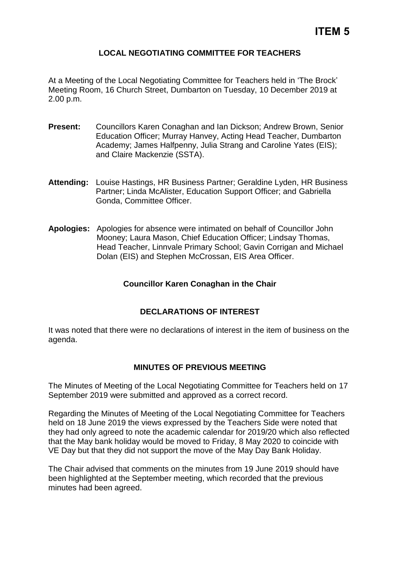# **LOCAL NEGOTIATING COMMITTEE FOR TEACHERS**

At a Meeting of the Local Negotiating Committee for Teachers held in 'The Brock' Meeting Room, 16 Church Street, Dumbarton on Tuesday, 10 December 2019 at 2.00 p.m.

- **Present:** Councillors Karen Conaghan and Ian Dickson; Andrew Brown, Senior Education Officer; Murray Hanvey, Acting Head Teacher, Dumbarton Academy; James Halfpenny, Julia Strang and Caroline Yates (EIS); and Claire Mackenzie (SSTA).
- **Attending:** Louise Hastings, HR Business Partner; Geraldine Lyden, HR Business Partner; Linda McAlister, Education Support Officer; and Gabriella Gonda, Committee Officer.
- **Apologies:** Apologies for absence were intimated on behalf of Councillor John Mooney; Laura Mason, Chief Education Officer; Lindsay Thomas, Head Teacher, Linnvale Primary School; Gavin Corrigan and Michael Dolan (EIS) and Stephen McCrossan, EIS Area Officer.

# **Councillor Karen Conaghan in the Chair**

### **DECLARATIONS OF INTEREST**

It was noted that there were no declarations of interest in the item of business on the agenda.

### **MINUTES OF PREVIOUS MEETING**

The Minutes of Meeting of the Local Negotiating Committee for Teachers held on 17 September 2019 were submitted and approved as a correct record.

Regarding the Minutes of Meeting of the Local Negotiating Committee for Teachers held on 18 June 2019 the views expressed by the Teachers Side were noted that they had only agreed to note the academic calendar for 2019/20 which also reflected that the May bank holiday would be moved to Friday, 8 May 2020 to coincide with VE Day but that they did not support the move of the May Day Bank Holiday.

The Chair advised that comments on the minutes from 19 June 2019 should have been highlighted at the September meeting, which recorded that the previous minutes had been agreed.